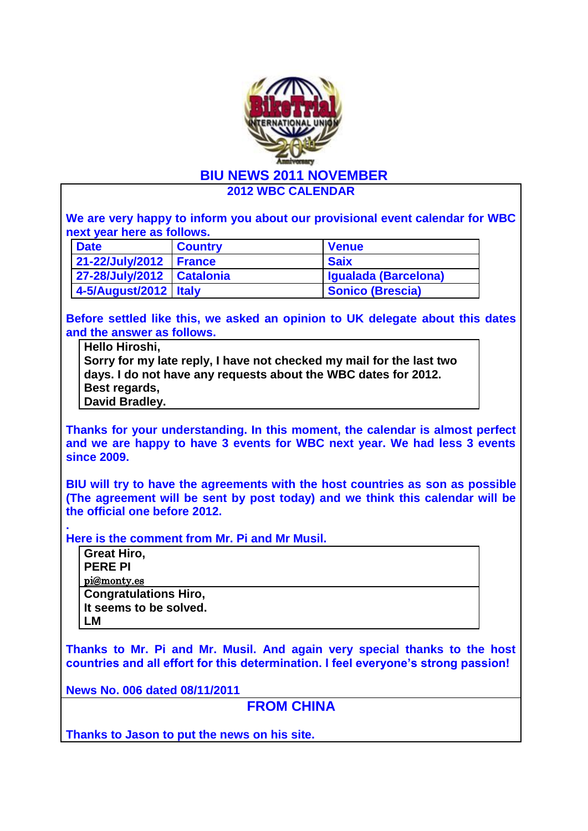

**2012 WBC CALENDAR**

**We are very happy to inform you about our provisional event calendar for WBC next year here as follows.**

| <b>Date</b>                 | <b>Country</b> | <b>Venue</b>         |
|-----------------------------|----------------|----------------------|
| 21-22/July/2012   France    |                | <b>Saix</b>          |
| 27-28/July/2012   Catalonia |                | Igualada (Barcelona) |
| 4-5/August/2012 Italy       |                | Sonico (Brescia)     |

**Before settled like this, we asked an opinion to UK delegate about this dates and the answer as follows.**

**Hello Hiroshi, Sorry for my late reply, I have not checked my mail for the last two days. I do not have any requests about the WBC dates for 2012. Best regards, David Bradley.**

**Thanks for your understanding. In this moment, the calendar is almost perfect and we are happy to have 3 events for WBC next year. We had less 3 events since 2009.** 

**BIU will try to have the agreements with the host countries as son as possible (The agreement will be sent by post today) and we think this calendar will be the official one before 2012.** 

**Here is the comment from Mr. Pi and Mr Musil.**

| <b>Great Hiro,</b>           |
|------------------------------|
| <b>PERE PI</b>               |
| pi@monty.es                  |
| <b>Congratulations Hiro,</b> |
| It seems to be solved.       |
| LМ                           |

**Thanks to Mr. Pi and Mr. Musil. And again very special thanks to the host countries and all effort for this determination. I feel everyone's strong passion!**

**News No. 006 dated 08/11/2011**

**.** 

**FROM CHINA**

**Thanks to Jason to put the news on his site.**